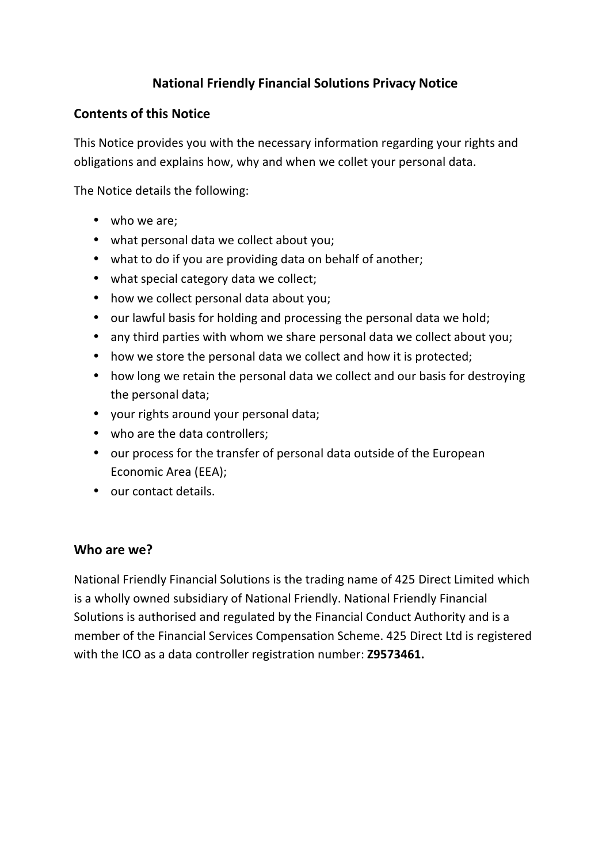## **National Friendly Financial Solutions Privacy Notice**

### **Contents of this Notice**

This Notice provides you with the necessary information regarding your rights and obligations and explains how, why and when we collet your personal data.

The Notice details the following:

- who we are;
- what personal data we collect about you;
- what to do if you are providing data on behalf of another;
- what special category data we collect;
- how we collect personal data about you;
- our lawful basis for holding and processing the personal data we hold;
- any third parties with whom we share personal data we collect about you;
- how we store the personal data we collect and how it is protected;
- how long we retain the personal data we collect and our basis for destroying the personal data;
- your rights around your personal data;
- who are the data controllers;
- our process for the transfer of personal data outside of the European Economic Area (EEA);
- our contact details.

#### **Who are we?**

National Friendly Financial Solutions is the trading name of 425 Direct Limited which is a wholly owned subsidiary of National Friendly. National Friendly Financial Solutions is authorised and regulated by the Financial Conduct Authority and is a member of the Financial Services Compensation Scheme. 425 Direct Ltd is registered with the ICO as a data controller registration number: **Z9573461.**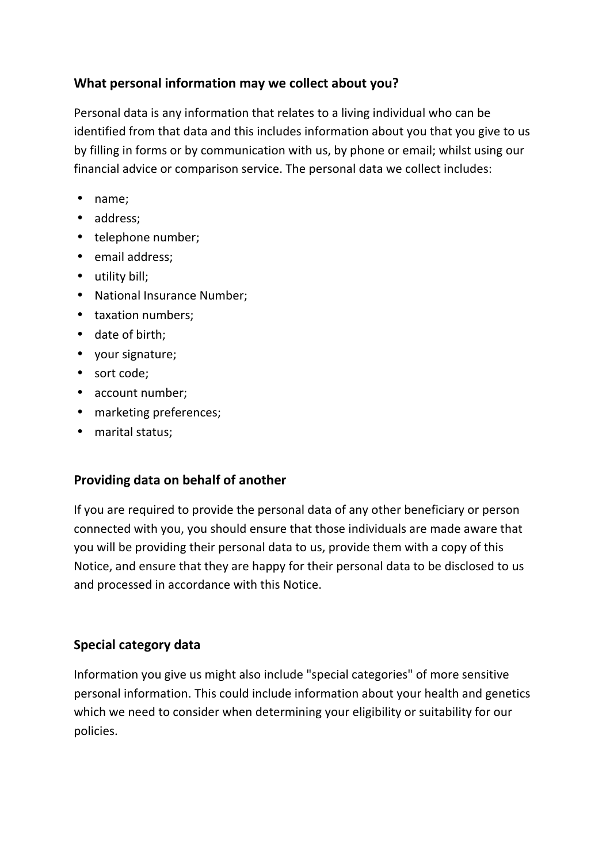## **What personal information may we collect about you?**

Personal data is any information that relates to a living individual who can be identified from that data and this includes information about you that you give to us by filling in forms or by communication with us, by phone or email; whilst using our financial advice or comparison service. The personal data we collect includes:

- name;
- address;
- telephone number;
- email address;
- utility bill;
- National Insurance Number;
- taxation numbers;
- date of birth;
- your signature;
- sort code;
- account number;
- marketing preferences;
- marital status;

# **Providing data on behalf of another**

If you are required to provide the personal data of any other beneficiary or person connected with you, you should ensure that those individuals are made aware that you will be providing their personal data to us, provide them with a copy of this Notice, and ensure that they are happy for their personal data to be disclosed to us and processed in accordance with this Notice.

# **Special category data**

Information you give us might also include "special categories" of more sensitive personal information. This could include information about your health and genetics which we need to consider when determining your eligibility or suitability for our policies.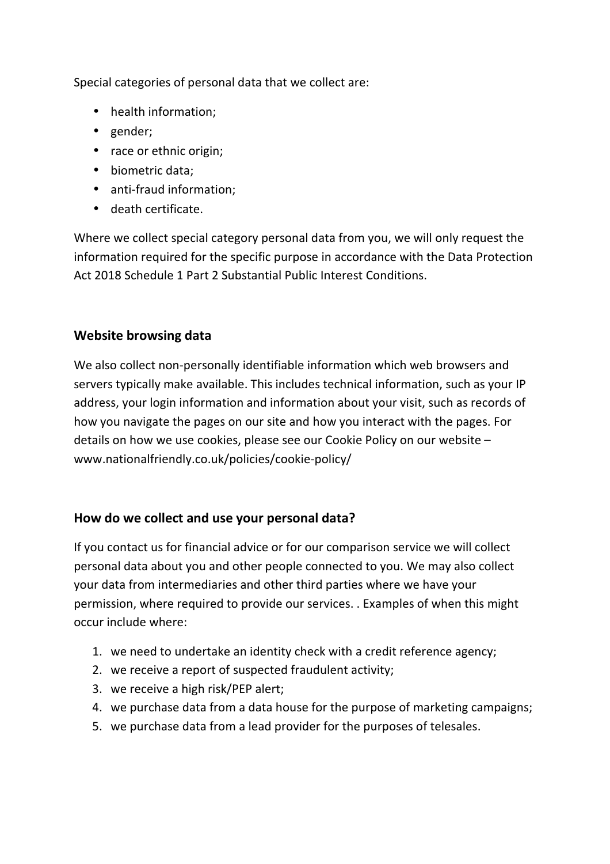Special categories of personal data that we collect are:

- health information;
- gender;
- race or ethnic origin;
- biometric data;
- anti-fraud information;
- death certificate.

Where we collect special category personal data from you, we will only request the information required for the specific purpose in accordance with the Data Protection Act 2018 Schedule 1 Part 2 Substantial Public Interest Conditions.

## **Website browsing data**

We also collect non-personally identifiable information which web browsers and servers typically make available. This includes technical information, such as your IP address, your login information and information about your visit, such as records of how you navigate the pages on our site and how you interact with the pages. For details on how we use cookies, please see our Cookie Policy on our website – www.nationalfriendly.co.uk/policies/cookie-policy/

### **How do we collect and use your personal data?**

If you contact us for financial advice or for our comparison service we will collect personal data about you and other people connected to you. We may also collect your data from intermediaries and other third parties where we have your permission, where required to provide our services. . Examples of when this might occur include where:

- 1. we need to undertake an identity check with a credit reference agency;
- 2. we receive a report of suspected fraudulent activity;
- 3. we receive a high risk/PEP alert;
- 4. we purchase data from a data house for the purpose of marketing campaigns;
- 5. we purchase data from a lead provider for the purposes of telesales.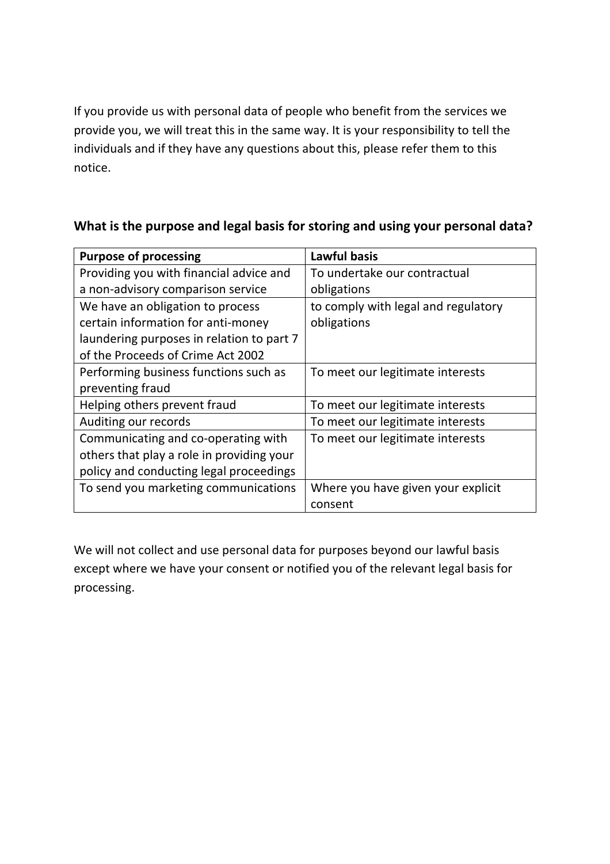If you provide us with personal data of people who benefit from the services we provide you, we will treat this in the same way. It is your responsibility to tell the individuals and if they have any questions about this, please refer them to this notice.

| <b>Purpose of processing</b>              | <b>Lawful basis</b>                 |
|-------------------------------------------|-------------------------------------|
| Providing you with financial advice and   | To undertake our contractual        |
| a non-advisory comparison service         | obligations                         |
| We have an obligation to process          | to comply with legal and regulatory |
| certain information for anti-money        | obligations                         |
| laundering purposes in relation to part 7 |                                     |
| of the Proceeds of Crime Act 2002         |                                     |
| Performing business functions such as     | To meet our legitimate interests    |
| preventing fraud                          |                                     |
| Helping others prevent fraud              | To meet our legitimate interests    |
| Auditing our records                      | To meet our legitimate interests    |
| Communicating and co-operating with       | To meet our legitimate interests    |
| others that play a role in providing your |                                     |
| policy and conducting legal proceedings   |                                     |
| To send you marketing communications      | Where you have given your explicit  |
|                                           | consent                             |

# **What is the purpose and legal basis for storing and using your personal data?**

We will not collect and use personal data for purposes beyond our lawful basis except where we have your consent or notified you of the relevant legal basis for processing.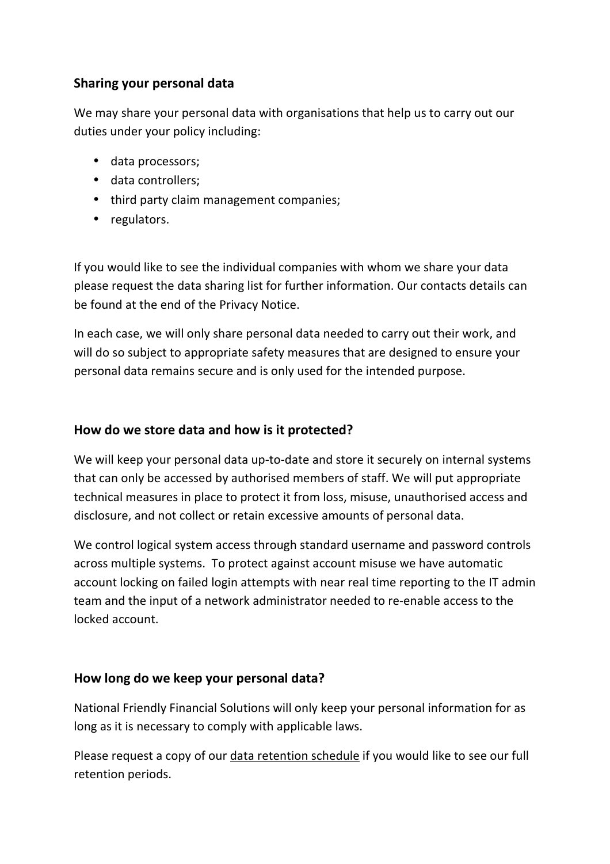## **Sharing your personal data**

We may share your personal data with organisations that help us to carry out our duties under your policy including:

- data processors;
- data controllers;
- third party claim management companies;
- regulators.

If you would like to see the individual companies with whom we share your data please request the data sharing list for further information. Our contacts details can be found at the end of the Privacy Notice.

In each case, we will only share personal data needed to carry out their work, and will do so subject to appropriate safety measures that are designed to ensure your personal data remains secure and is only used for the intended purpose.

## **How do we store data and how is it protected?**

We will keep your personal data up-to-date and store it securely on internal systems that can only be accessed by authorised members of staff. We will put appropriate technical measures in place to protect it from loss, misuse, unauthorised access and disclosure, and not collect or retain excessive amounts of personal data.

We control logical system access through standard username and password controls across multiple systems. To protect against account misuse we have automatic account locking on failed login attempts with near real time reporting to the IT admin team and the input of a network administrator needed to re-enable access to the locked account.

### **How long do we keep your personal data?**

National Friendly Financial Solutions will only keep your personal information for as long as it is necessary to comply with applicable laws.

Please request a copy of our data retention schedule if you would like to see our full retention periods.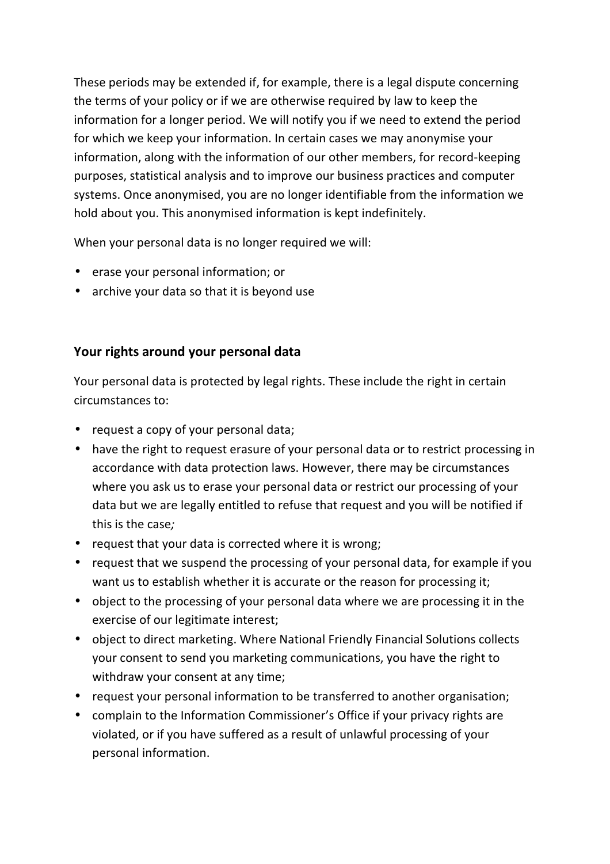These periods may be extended if, for example, there is a legal dispute concerning the terms of your policy or if we are otherwise required by law to keep the information for a longer period. We will notify you if we need to extend the period for which we keep your information. In certain cases we may anonymise your information, along with the information of our other members, for record-keeping purposes, statistical analysis and to improve our business practices and computer systems. Once anonymised, you are no longer identifiable from the information we hold about you. This anonymised information is kept indefinitely.

When your personal data is no longer required we will:

- erase your personal information; or
- archive your data so that it is beyond use

## **Your rights around your personal data**

Your personal data is protected by legal rights. These include the right in certain circumstances to:

- request a copy of your personal data;
- have the right to request erasure of your personal data or to restrict processing in accordance with data protection laws. However, there may be circumstances where you ask us to erase your personal data or restrict our processing of your data but we are legally entitled to refuse that request and you will be notified if this is the case*;*
- request that your data is corrected where it is wrong;
- request that we suspend the processing of your personal data, for example if you want us to establish whether it is accurate or the reason for processing it;
- object to the processing of your personal data where we are processing it in the exercise of our legitimate interest;
- object to direct marketing. Where National Friendly Financial Solutions collects your consent to send you marketing communications, you have the right to withdraw your consent at any time;
- request your personal information to be transferred to another organisation;
- complain to the Information Commissioner's Office if your privacy rights are violated, or if you have suffered as a result of unlawful processing of your personal information.